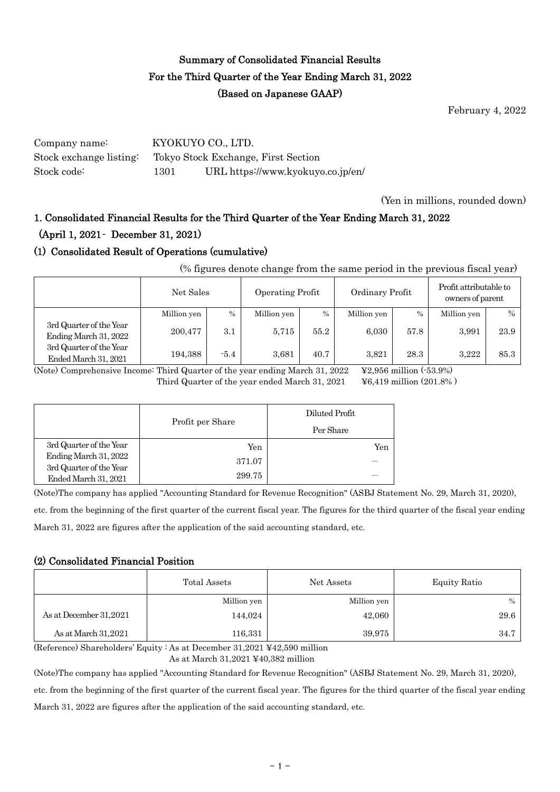## Summary of Consolidated Financial Results For the Third Quarter of the Year Ending March 31, 2022 (Based on Japanese GAAP)

February 4, 2022

Company name: KYOKUYO CO., LTD. Stock exchange listing: Tokyo Stock Exchange, First Section Stock code: 1301 URL https://www.kyokuyo.co.jp/en/

(Yen in millions, rounded down)

# 1. Consolidated Financial Results for the Third Quarter of the Year Ending March 31, 2022 (April 1, 2021– December 31, 2021)

## (1) Consolidated Result of Operations (cumulative)

(% figures denote change from the same period in the previous fiscal year)

|                                                  |             | Operating Profit<br>Ordinary Profit<br>Net Sales |             |      | Profit attributable to<br>owners of parent |      |             |      |
|--------------------------------------------------|-------------|--------------------------------------------------|-------------|------|--------------------------------------------|------|-------------|------|
|                                                  | Million yen | $\%$                                             | Million yen | $\%$ | Million yen                                | $\%$ | Million yen | $\%$ |
| 3rd Quarter of the Year<br>Ending March 31, 2022 | 200,477     | 3.1                                              | 5.715       | 55.2 | 6.030                                      | 57.8 | 3,991       | 23.9 |
| 3rd Quarter of the Year<br>Ended March 31, 2021  | 194,388     | $-5.4$                                           | 3.681       | 40.7 | 3.821                                      | 28.3 | 3.222       | 85.3 |

(Note) Comprehensive Income: Third Quarter of the year ending March 31, 2022 ¥2,956 million (-53.9%) Third Quarter of the year ended March 31,  $2021$   $\equiv$   $\frac{100}{4}$   $\approx$   $\frac{419}{4}$  million (201.8%)

|                                                  |                  | Diluted Profit |  |  |
|--------------------------------------------------|------------------|----------------|--|--|
|                                                  | Profit per Share | Per Share      |  |  |
| 3rd Quarter of the Year                          | Yen              | Yen            |  |  |
| Ending March 31, 2022<br>3rd Quarter of the Year | 371.07           |                |  |  |
| Ended March 31, 2021                             | 299.75           |                |  |  |

(Note)The company has applied "Accounting Standard for Revenue Recognition" (ASBJ Statement No. 29, March 31, 2020),

etc. from the beginning of the first quarter of the current fiscal year. The figures for the third quarter of the fiscal year ending March 31, 2022 are figures after the application of the said accounting standard, etc.

#### (2) Consolidated Financial Position

|                        | Total Assets | Net Assets  | <b>Equity Ratio</b> |
|------------------------|--------------|-------------|---------------------|
|                        | Million yen  | Million yen | $\%$                |
| As at December 31,2021 | 144,024      | 42,060      | 29.6                |
| As at March 31,2021    | 116,331      | 39,975      | 34.7                |

(Reference) Shareholders' Equity : As at December 31,2021 ¥42,590 million

As at March 31,2021 ¥40,382 million

(Note)The company has applied "Accounting Standard for Revenue Recognition" (ASBJ Statement No. 29, March 31, 2020),

etc. from the beginning of the first quarter of the current fiscal year. The figures for the third quarter of the fiscal year ending March 31, 2022 are figures after the application of the said accounting standard, etc.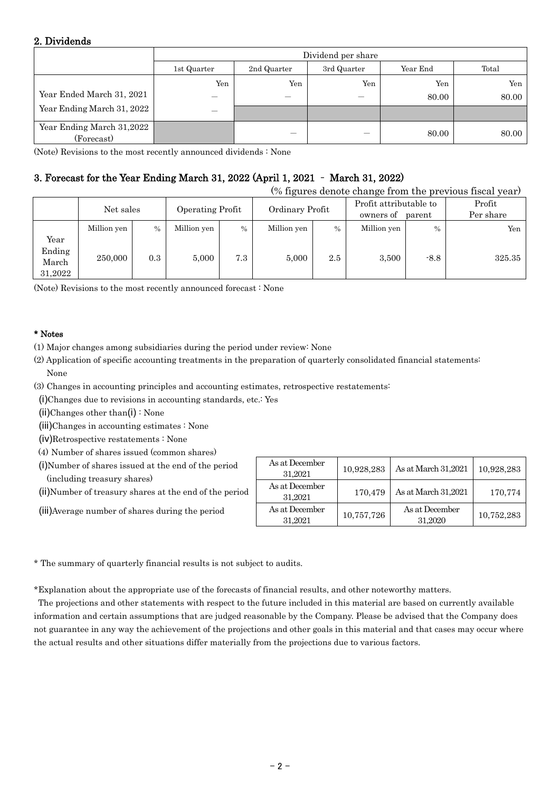### 2. Dividends

|                                         | Dividend per share |             |             |          |       |  |
|-----------------------------------------|--------------------|-------------|-------------|----------|-------|--|
|                                         | 1st Quarter        | 2nd Quarter | 3rd Quarter | Year End | Total |  |
|                                         | Yen                | Yen         | Yen         | Yen      | Yen   |  |
| Year Ended March 31, 2021               | —                  | –           |             | 80.00    | 80.00 |  |
| Year Ending March 31, 2022              | —                  |             |             |          |       |  |
| Year Ending March 31,2022<br>(Forecast) |                    | –           |             | 80.00    | 80.00 |  |

(Note) Revisions to the most recently announced dividends : None

## 3. Forecast for the Year Ending March 31, 2022 (April 1, 2021 – March 31, 2022)

| (% figures denote change from the previous fiscal year) |             |               |                  |      |                 |               |                                               |               |                     |
|---------------------------------------------------------|-------------|---------------|------------------|------|-----------------|---------------|-----------------------------------------------|---------------|---------------------|
|                                                         | Net sales   |               | Operating Profit |      | Ordinary Profit |               | Profit attributable to<br>owners of<br>parent |               | Profit<br>Per share |
|                                                         | Million yen | $\frac{0}{0}$ | Million yen      | $\%$ | Million yen     | $\frac{0}{0}$ | Million yen                                   | $\frac{0}{0}$ | Yen                 |
| Year<br>Ending<br>March<br>31,2022                      | 250,000     | 0.3           | 5,000            | 7.3  | 5,000           | 2.5           | 3,500                                         | $-8.8$        | 325.35              |

(Note) Revisions to the most recently announced forecast : None

#### \* Notes

- (1) Major changes among subsidiaries during the period under review: None
- (2) Application of specific accounting treatments in the preparation of quarterly consolidated financial statements: None
- (3) Changes in accounting principles and accounting estimates, retrospective restatements:
- (i)Changes due to revisions in accounting standards, etc.: Yes
- (ii)Changes other than(i) : None
- (iii)Changes in accounting estimates : None
- (iv)Retrospective restatements : None
- (4) Number of shares issued (common shares)
- (i)Number of shares issued at the end of the period (including treasury shares)
- (ii)Number of treasury shares at the end of the period
- (iii)Average number of shares during the period

| As at December<br>31.2021 | 10,928,283 | As at March 31,2021       | 10,928,283 |
|---------------------------|------------|---------------------------|------------|
| As at December<br>31.2021 | 170,479    | As at March 31,2021       | 170,774    |
| As at December<br>31,2021 | 10,757,726 | As at December<br>31,2020 | 10,752,283 |

\* The summary of quarterly financial results is not subject to audits.

\*Explanation about the appropriate use of the forecasts of financial results, and other noteworthy matters.

The projections and other statements with respect to the future included in this material are based on currently available information and certain assumptions that are judged reasonable by the Company. Please be advised that the Company does not guarantee in any way the achievement of the projections and other goals in this material and that cases may occur where the actual results and other situations differ materially from the projections due to various factors.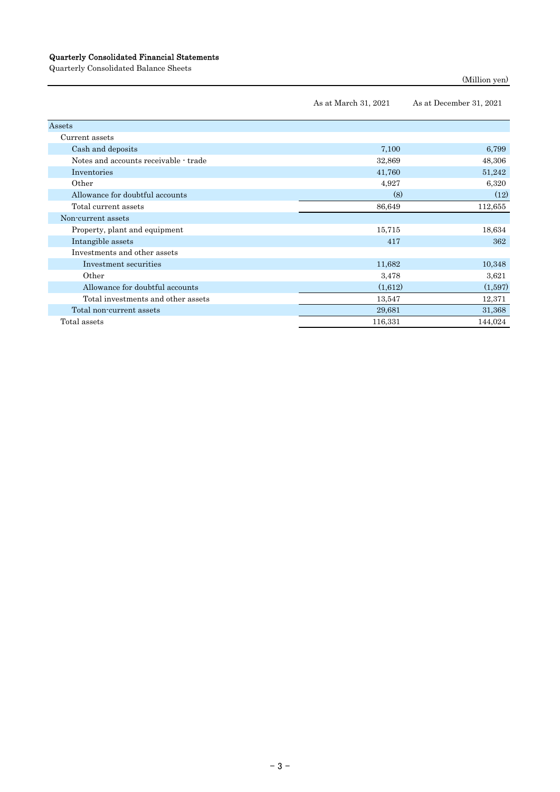#### Quarterly Consolidated Financial Statements

Quarterly Consolidated Balance Sheets

```
(Million yen)
```

|                                       | As at March 31, 2021 | As at December 31, 2021 |
|---------------------------------------|----------------------|-------------------------|
| Assets                                |                      |                         |
| Current assets                        |                      |                         |
| Cash and deposits                     | 7,100                | 6,799                   |
| Notes and accounts receivable - trade | 32,869               | 48,306                  |
| Inventories                           | 41,760               | 51,242                  |
| Other                                 | 4,927                | 6,320                   |
| Allowance for doubtful accounts       | (8)                  | (12)                    |
| Total current assets                  | 86,649               | 112,655                 |
| Non-current assets                    |                      |                         |
| Property, plant and equipment         | 15,715               | 18,634                  |
| Intangible assets                     | 417                  | 362                     |
| Investments and other assets          |                      |                         |
| Investment securities                 | 11,682               | 10,348                  |
| Other                                 | 3,478                | 3,621                   |
| Allowance for doubtful accounts       | (1,612)              | (1,597)                 |
| Total investments and other assets    | 13,547               | 12,371                  |
| Total non-current assets              | 29,681               | 31,368                  |
| Total assets                          | 116,331              | 144,024                 |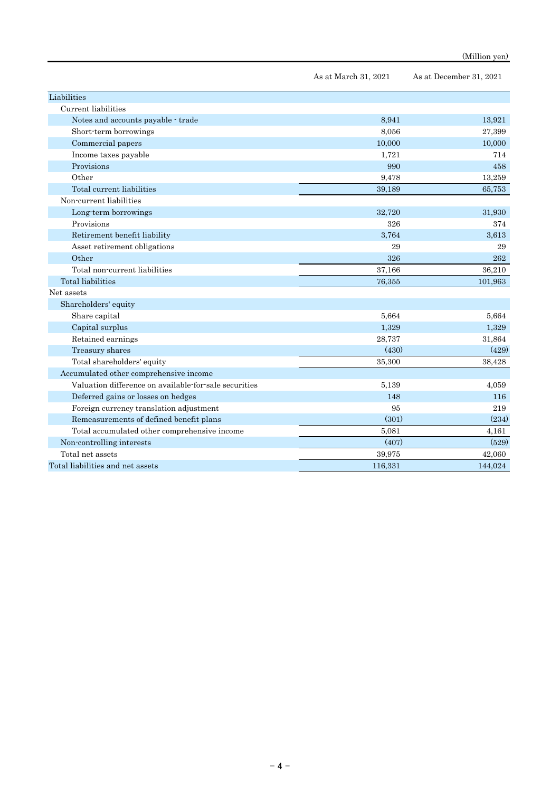|                                                       | As at March 31, 2021 | As at December 31, 2021 |
|-------------------------------------------------------|----------------------|-------------------------|
| Liabilities                                           |                      |                         |
| Current liabilities                                   |                      |                         |
| Notes and accounts payable - trade                    | 8,941                | 13,921                  |
| Short-term borrowings                                 | 8,056                | 27,399                  |
| Commercial papers                                     | 10,000               | 10,000                  |
| Income taxes payable                                  | 1,721                | 714                     |
| Provisions                                            | 990                  | 458                     |
| Other                                                 | 9,478                | 13,259                  |
| Total current liabilities                             | 39,189               | 65,753                  |
| Non-current liabilities                               |                      |                         |
| Long-term borrowings                                  | 32,720               | 31,930                  |
| Provisions                                            | 326                  | 374                     |
| Retirement benefit liability                          | 3,764                | 3.613                   |
| Asset retirement obligations                          | 29                   | 29                      |
| Other                                                 | 326                  | 262                     |
| Total non-current liabilities                         | 37,166               | 36,210                  |
| Total liabilities                                     | 76,355               | 101,963                 |
| Net assets                                            |                      |                         |
| Shareholders' equity                                  |                      |                         |
| Share capital                                         | 5,664                | 5,664                   |
| Capital surplus                                       | 1,329                | 1,329                   |
| Retained earnings                                     | 28,737               | 31,864                  |
| Treasury shares                                       | (430)                | (429)                   |
| Total shareholders' equity                            | 35,300               | 38,428                  |
| Accumulated other comprehensive income                |                      |                         |
| Valuation difference on available for sale securities | 5,139                | 4.059                   |
| Deferred gains or losses on hedges                    | 148                  | 116                     |
| Foreign currency translation adjustment               | 95                   | 219                     |
| Remeasurements of defined benefit plans               | (301)                | (234)                   |
| Total accumulated other comprehensive income          | 5,081                | 4,161                   |
| Non-controlling interests                             | (407)                | (529)                   |
| Total net assets                                      | 39,975               | 42,060                  |
| Total liabilities and net assets                      | 116,331              | 144,024                 |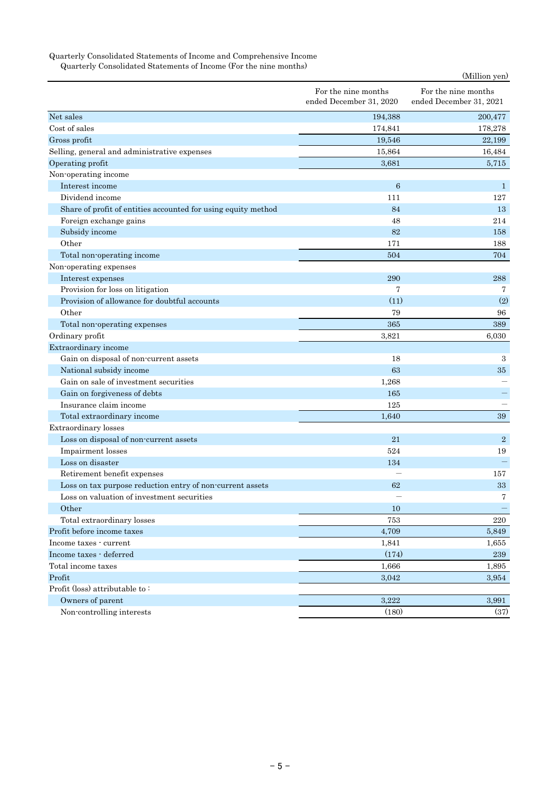#### Quarterly Consolidated Statements of Income and Comprehensive Income

Quarterly Consolidated Statements of Income (For the nine months)

|                                                               |                                                | (Million yen)                                  |
|---------------------------------------------------------------|------------------------------------------------|------------------------------------------------|
|                                                               | For the nine months<br>ended December 31, 2020 | For the nine months<br>ended December 31, 2021 |
| Net sales                                                     | 194,388                                        | 200,477                                        |
| Cost of sales                                                 | 174,841                                        | 178,278                                        |
| Gross profit                                                  | 19,546                                         | 22,199                                         |
| Selling, general and administrative expenses                  | 15,864                                         | 16,484                                         |
| Operating profit                                              | 3,681                                          | 5,715                                          |
| Non-operating income                                          |                                                |                                                |
| Interest income                                               | $6\phantom{1}6$                                | $\mathbf{1}$                                   |
| Dividend income                                               | 111                                            | 127                                            |
| Share of profit of entities accounted for using equity method | 84                                             | 13                                             |
| Foreign exchange gains                                        | 48                                             | 214                                            |
| Subsidy income                                                | 82                                             | 158                                            |
| Other                                                         | 171                                            | 188                                            |
| Total non-operating income                                    | 504                                            | 704                                            |
| Non-operating expenses                                        |                                                |                                                |
| Interest expenses                                             | 290                                            | 288                                            |
| Provision for loss on litigation                              | 7                                              | 7                                              |
| Provision of allowance for doubtful accounts                  | (11)                                           | (2)                                            |
| Other                                                         | 79                                             | 96                                             |
| Total non-operating expenses                                  | 365                                            | 389                                            |
| Ordinary profit                                               | 3,821                                          | 6,030                                          |
| Extraordinary income                                          |                                                |                                                |
| Gain on disposal of non-current assets                        | 18                                             | $\boldsymbol{3}$                               |
| National subsidy income                                       | 63                                             | 35                                             |
| Gain on sale of investment securities                         | 1,268                                          |                                                |
| Gain on forgiveness of debts                                  | 165                                            |                                                |
| Insurance claim income                                        | 125                                            |                                                |
| Total extraordinary income                                    | 1,640                                          | 39                                             |
| Extraordinary losses                                          |                                                |                                                |
| Loss on disposal of non-current assets                        | 21                                             | $\overline{2}$                                 |
| Impairment losses                                             | 524                                            | 19                                             |
| Loss on disaster                                              | 134                                            |                                                |
| Retirement benefit expenses                                   |                                                | 157                                            |
| Loss on tax purpose reduction entry of non-current assets     | 62                                             | 33                                             |
| Loss on valuation of investment securities                    |                                                | 7                                              |
| Other                                                         | 10                                             |                                                |
| Total extraordinary losses                                    | 753                                            | 220                                            |
| Profit before income taxes                                    | 4,709                                          | 5,849                                          |
| Income taxes - current                                        | 1,841                                          | 1,655                                          |
| Income taxes - deferred                                       | (174)                                          | $\bf 239$                                      |
| Total income taxes                                            | 1,666                                          | 1,895                                          |
| Profit                                                        | 3,042                                          | 3,954                                          |
| Profit (loss) attributable to:                                |                                                |                                                |
| Owners of parent                                              | 3,222                                          | 3,991                                          |
| Non-controlling interests                                     | (180)                                          | (37)                                           |